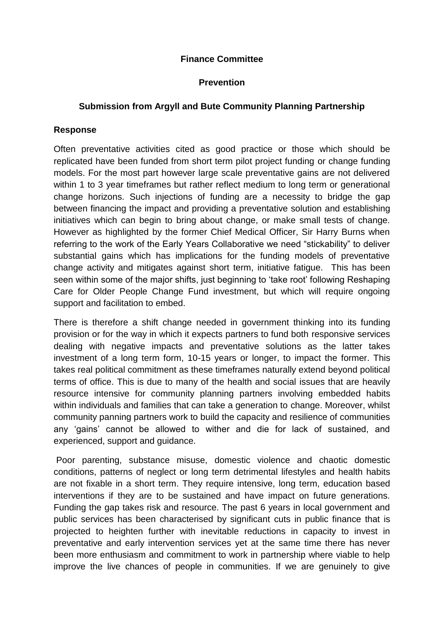### **Finance Committee**

### **Prevention**

### **Submission from Argyll and Bute Community Planning Partnership**

#### **Response**

Often preventative activities cited as good practice or those which should be replicated have been funded from short term pilot project funding or change funding models. For the most part however large scale preventative gains are not delivered within 1 to 3 year timeframes but rather reflect medium to long term or generational change horizons. Such injections of funding are a necessity to bridge the gap between financing the impact and providing a preventative solution and establishing initiatives which can begin to bring about change, or make small tests of change. However as highlighted by the former Chief Medical Officer, Sir Harry Burns when referring to the work of the Early Years Collaborative we need "stickability" to deliver substantial gains which has implications for the funding models of preventative change activity and mitigates against short term, initiative fatigue. This has been seen within some of the major shifts, just beginning to 'take root' following Reshaping Care for Older People Change Fund investment, but which will require ongoing support and facilitation to embed.

There is therefore a shift change needed in government thinking into its funding provision or for the way in which it expects partners to fund both responsive services dealing with negative impacts and preventative solutions as the latter takes investment of a long term form, 10-15 years or longer, to impact the former. This takes real political commitment as these timeframes naturally extend beyond political terms of office. This is due to many of the health and social issues that are heavily resource intensive for community planning partners involving embedded habits within individuals and families that can take a generation to change. Moreover, whilst community panning partners work to build the capacity and resilience of communities any 'gains' cannot be allowed to wither and die for lack of sustained, and experienced, support and guidance.

Poor parenting, substance misuse, domestic violence and chaotic domestic conditions, patterns of neglect or long term detrimental lifestyles and health habits are not fixable in a short term. They require intensive, long term, education based interventions if they are to be sustained and have impact on future generations. Funding the gap takes risk and resource. The past 6 years in local government and public services has been characterised by significant cuts in public finance that is projected to heighten further with inevitable reductions in capacity to invest in preventative and early intervention services yet at the same time there has never been more enthusiasm and commitment to work in partnership where viable to help improve the live chances of people in communities. If we are genuinely to give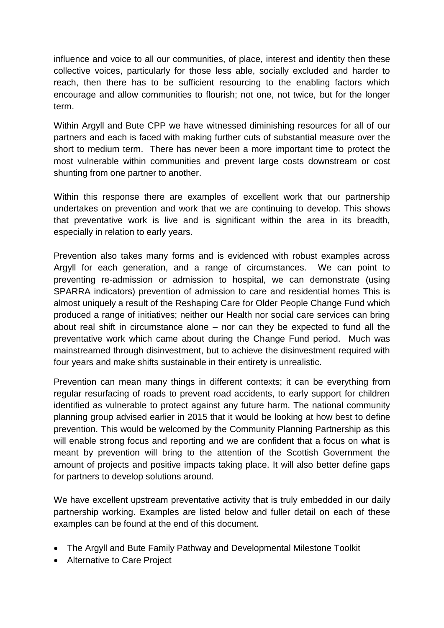influence and voice to all our communities, of place, interest and identity then these collective voices, particularly for those less able, socially excluded and harder to reach, then there has to be sufficient resourcing to the enabling factors which encourage and allow communities to flourish; not one, not twice, but for the longer term.

Within Argyll and Bute CPP we have witnessed diminishing resources for all of our partners and each is faced with making further cuts of substantial measure over the short to medium term. There has never been a more important time to protect the most vulnerable within communities and prevent large costs downstream or cost shunting from one partner to another.

Within this response there are examples of excellent work that our partnership undertakes on prevention and work that we are continuing to develop. This shows that preventative work is live and is significant within the area in its breadth, especially in relation to early years.

Prevention also takes many forms and is evidenced with robust examples across Argyll for each generation, and a range of circumstances. We can point to preventing re-admission or admission to hospital, we can demonstrate (using SPARRA indicators) prevention of admission to care and residential homes This is almost uniquely a result of the Reshaping Care for Older People Change Fund which produced a range of initiatives; neither our Health nor social care services can bring about real shift in circumstance alone – nor can they be expected to fund all the preventative work which came about during the Change Fund period. Much was mainstreamed through disinvestment, but to achieve the disinvestment required with four years and make shifts sustainable in their entirety is unrealistic.

Prevention can mean many things in different contexts; it can be everything from regular resurfacing of roads to prevent road accidents, to early support for children identified as vulnerable to protect against any future harm. The national community planning group advised earlier in 2015 that it would be looking at how best to define prevention. This would be welcomed by the Community Planning Partnership as this will enable strong focus and reporting and we are confident that a focus on what is meant by prevention will bring to the attention of the Scottish Government the amount of projects and positive impacts taking place. It will also better define gaps for partners to develop solutions around.

We have excellent upstream preventative activity that is truly embedded in our daily partnership working. Examples are listed below and fuller detail on each of these examples can be found at the end of this document.

- The Argyll and Bute Family Pathway and Developmental Milestone Toolkit
- Alternative to Care Project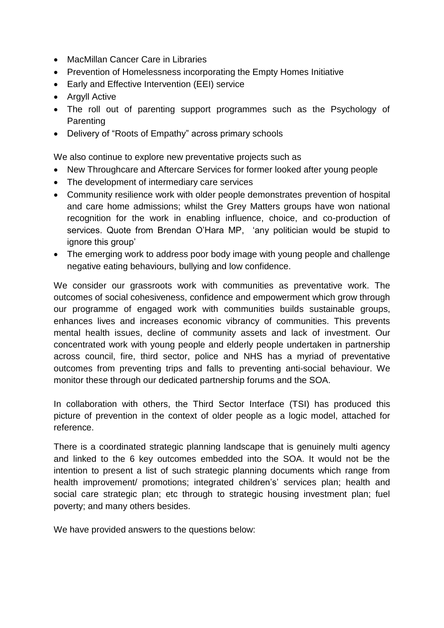- MacMillan Cancer Care in Libraries
- Prevention of Homelessness incorporating the Empty Homes Initiative
- Early and Effective Intervention (EEI) service
- Argyll Active
- The roll out of parenting support programmes such as the Psychology of **Parenting**
- Delivery of "Roots of Empathy" across primary schools

We also continue to explore new preventative projects such as

- New Throughcare and Aftercare Services for former looked after young people
- The development of intermediary care services
- Community resilience work with older people demonstrates prevention of hospital and care home admissions; whilst the Grey Matters groups have won national recognition for the work in enabling influence, choice, and co-production of services. Quote from Brendan O'Hara MP, 'any politician would be stupid to ignore this group'
- The emerging work to address poor body image with young people and challenge negative eating behaviours, bullying and low confidence.

We consider our grassroots work with communities as preventative work. The outcomes of social cohesiveness, confidence and empowerment which grow through our programme of engaged work with communities builds sustainable groups, enhances lives and increases economic vibrancy of communities. This prevents mental health issues, decline of community assets and lack of investment. Our concentrated work with young people and elderly people undertaken in partnership across council, fire, third sector, police and NHS has a myriad of preventative outcomes from preventing trips and falls to preventing anti-social behaviour. We monitor these through our dedicated partnership forums and the SOA.

In collaboration with others, the Third Sector Interface (TSI) has produced this picture of prevention in the context of older people as a logic model, attached for reference.

There is a coordinated strategic planning landscape that is genuinely multi agency and linked to the 6 key outcomes embedded into the SOA. It would not be the intention to present a list of such strategic planning documents which range from health improvement/ promotions; integrated children's' services plan; health and social care strategic plan; etc through to strategic housing investment plan; fuel poverty; and many others besides.

We have provided answers to the questions below: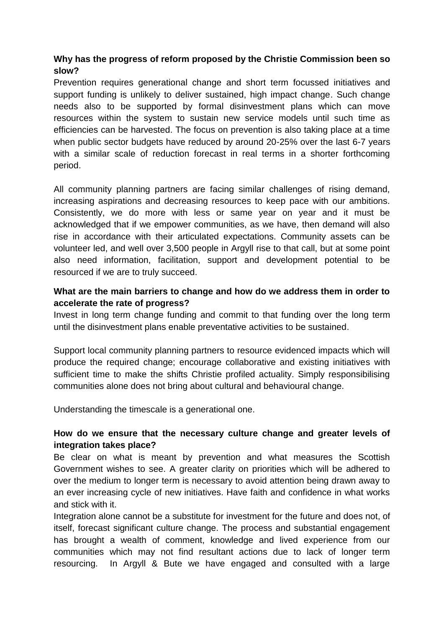# **Why has the progress of reform proposed by the Christie Commission been so slow?**

Prevention requires generational change and short term focussed initiatives and support funding is unlikely to deliver sustained, high impact change. Such change needs also to be supported by formal disinvestment plans which can move resources within the system to sustain new service models until such time as efficiencies can be harvested. The focus on prevention is also taking place at a time when public sector budgets have reduced by around 20-25% over the last 6-7 years with a similar scale of reduction forecast in real terms in a shorter forthcoming period.

All community planning partners are facing similar challenges of rising demand, increasing aspirations and decreasing resources to keep pace with our ambitions. Consistently, we do more with less or same year on year and it must be acknowledged that if we empower communities, as we have, then demand will also rise in accordance with their articulated expectations. Community assets can be volunteer led, and well over 3,500 people in Argyll rise to that call, but at some point also need information, facilitation, support and development potential to be resourced if we are to truly succeed.

## **What are the main barriers to change and how do we address them in order to accelerate the rate of progress?**

Invest in long term change funding and commit to that funding over the long term until the disinvestment plans enable preventative activities to be sustained.

Support local community planning partners to resource evidenced impacts which will produce the required change; encourage collaborative and existing initiatives with sufficient time to make the shifts Christie profiled actuality. Simply responsibilising communities alone does not bring about cultural and behavioural change.

Understanding the timescale is a generational one.

## **How do we ensure that the necessary culture change and greater levels of integration takes place?**

Be clear on what is meant by prevention and what measures the Scottish Government wishes to see. A greater clarity on priorities which will be adhered to over the medium to longer term is necessary to avoid attention being drawn away to an ever increasing cycle of new initiatives. Have faith and confidence in what works and stick with it.

Integration alone cannot be a substitute for investment for the future and does not, of itself, forecast significant culture change. The process and substantial engagement has brought a wealth of comment, knowledge and lived experience from our communities which may not find resultant actions due to lack of longer term resourcing. In Argyll & Bute we have engaged and consulted with a large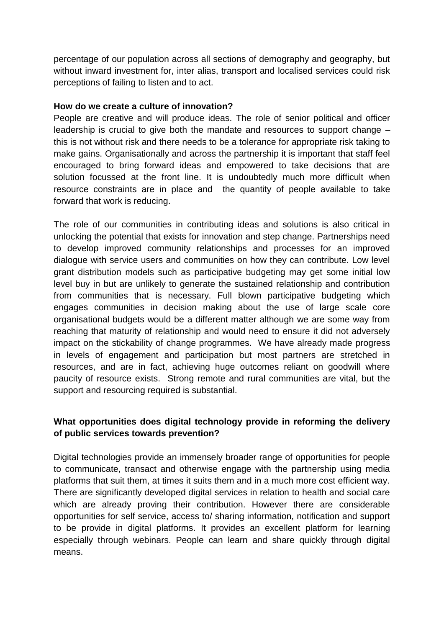percentage of our population across all sections of demography and geography, but without inward investment for, inter alias, transport and localised services could risk perceptions of failing to listen and to act.

#### **How do we create a culture of innovation?**

People are creative and will produce ideas. The role of senior political and officer leadership is crucial to give both the mandate and resources to support change – this is not without risk and there needs to be a tolerance for appropriate risk taking to make gains. Organisationally and across the partnership it is important that staff feel encouraged to bring forward ideas and empowered to take decisions that are solution focussed at the front line. It is undoubtedly much more difficult when resource constraints are in place and the quantity of people available to take forward that work is reducing.

The role of our communities in contributing ideas and solutions is also critical in unlocking the potential that exists for innovation and step change. Partnerships need to develop improved community relationships and processes for an improved dialogue with service users and communities on how they can contribute. Low level grant distribution models such as participative budgeting may get some initial low level buy in but are unlikely to generate the sustained relationship and contribution from communities that is necessary. Full blown participative budgeting which engages communities in decision making about the use of large scale core organisational budgets would be a different matter although we are some way from reaching that maturity of relationship and would need to ensure it did not adversely impact on the stickability of change programmes. We have already made progress in levels of engagement and participation but most partners are stretched in resources, and are in fact, achieving huge outcomes reliant on goodwill where paucity of resource exists. Strong remote and rural communities are vital, but the support and resourcing required is substantial.

## **What opportunities does digital technology provide in reforming the delivery of public services towards prevention?**

Digital technologies provide an immensely broader range of opportunities for people to communicate, transact and otherwise engage with the partnership using media platforms that suit them, at times it suits them and in a much more cost efficient way. There are significantly developed digital services in relation to health and social care which are already proving their contribution. However there are considerable opportunities for self service, access to/ sharing information, notification and support to be provide in digital platforms. It provides an excellent platform for learning especially through webinars. People can learn and share quickly through digital means.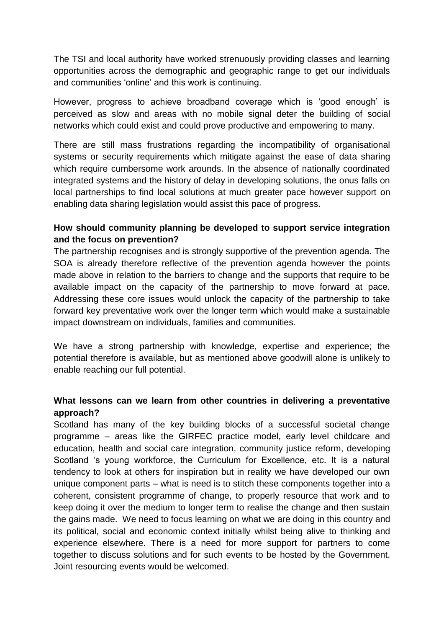The TSI and local authority have worked strenuously providing classes and learning opportunities across the demographic and geographic range to get our individuals and communities 'online' and this work is continuing.

However, progress to achieve broadband coverage which is 'good enough' is perceived as slow and areas with no mobile signal deter the building of social networks which could exist and could prove productive and empowering to many.

There are still mass frustrations regarding the incompatibility of organisational systems or security requirements which mitigate against the ease of data sharing which require cumbersome work arounds. In the absence of nationally coordinated integrated systems and the history of delay in developing solutions, the onus falls on local partnerships to find local solutions at much greater pace however support on enabling data sharing legislation would assist this pace of progress.

## **How should community planning be developed to support service integration and the focus on prevention?**

The partnership recognises and is strongly supportive of the prevention agenda. The SOA is already therefore reflective of the prevention agenda however the points made above in relation to the barriers to change and the supports that require to be available impact on the capacity of the partnership to move forward at pace. Addressing these core issues would unlock the capacity of the partnership to take forward key preventative work over the longer term which would make a sustainable impact downstream on individuals, families and communities.

We have a strong partnership with knowledge, expertise and experience; the potential therefore is available, but as mentioned above goodwill alone is unlikely to enable reaching our full potential.

## **What lessons can we learn from other countries in delivering a preventative approach?**

Scotland has many of the key building blocks of a successful societal change programme – areas like the GIRFEC practice model, early level childcare and education, health and social care integration, community justice reform, developing Scotland 's young workforce, the Curriculum for Excellence, etc. It is a natural tendency to look at others for inspiration but in reality we have developed our own unique component parts – what is need is to stitch these components together into a coherent, consistent programme of change, to properly resource that work and to keep doing it over the medium to longer term to realise the change and then sustain the gains made. We need to focus learning on what we are doing in this country and its political, social and economic context initially whilst being alive to thinking and experience elsewhere. There is a need for more support for partners to come together to discuss solutions and for such events to be hosted by the Government. Joint resourcing events would be welcomed.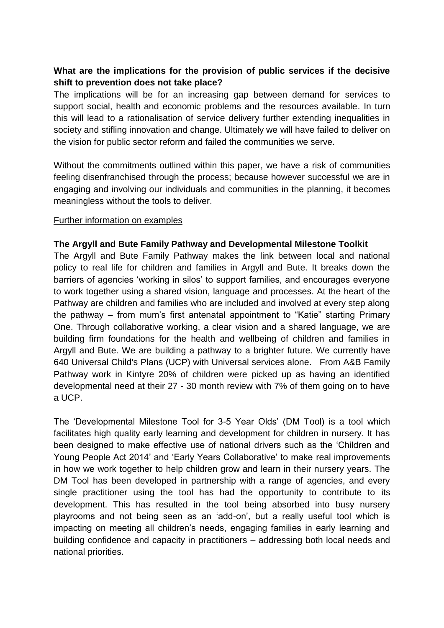# **What are the implications for the provision of public services if the decisive shift to prevention does not take place?**

The implications will be for an increasing gap between demand for services to support social, health and economic problems and the resources available. In turn this will lead to a rationalisation of service delivery further extending inequalities in society and stifling innovation and change. Ultimately we will have failed to deliver on the vision for public sector reform and failed the communities we serve.

Without the commitments outlined within this paper, we have a risk of communities feeling disenfranchised through the process; because however successful we are in engaging and involving our individuals and communities in the planning, it becomes meaningless without the tools to deliver.

### Further information on examples

### **The Argyll and Bute Family Pathway and Developmental Milestone Toolkit**

The Argyll and Bute Family Pathway makes the link between local and national policy to real life for children and families in Argyll and Bute. It breaks down the barriers of agencies 'working in silos' to support families, and encourages everyone to work together using a shared vision, language and processes. At the heart of the Pathway are children and families who are included and involved at every step along the pathway – from mum's first antenatal appointment to "Katie" starting Primary One. Through collaborative working, a clear vision and a shared language, we are building firm foundations for the health and wellbeing of children and families in Argyll and Bute. We are building a pathway to a brighter future. We currently have 640 Universal Child's Plans (UCP) with Universal services alone. From A&B Family Pathway work in Kintyre 20% of children were picked up as having an identified developmental need at their 27 - 30 month review with 7% of them going on to have a UCP.

The 'Developmental Milestone Tool for 3-5 Year Olds' (DM Tool) is a tool which facilitates high quality early learning and development for children in nursery. It has been designed to make effective use of national drivers such as the 'Children and Young People Act 2014' and 'Early Years Collaborative' to make real improvements in how we work together to help children grow and learn in their nursery years. The DM Tool has been developed in partnership with a range of agencies, and every single practitioner using the tool has had the opportunity to contribute to its development. This has resulted in the tool being absorbed into busy nursery playrooms and not being seen as an 'add-on', but a really useful tool which is impacting on meeting all children's needs, engaging families in early learning and building confidence and capacity in practitioners – addressing both local needs and national priorities.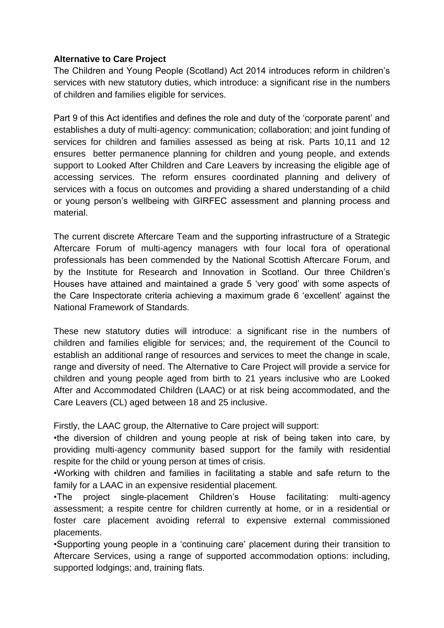### **Alternative to Care Project**

The Children and Young People (Scotland) Act 2014 introduces reform in children's services with new statutory duties, which introduce: a significant rise in the numbers of children and families eligible for services.

Part 9 of this Act identifies and defines the role and duty of the 'corporate parent' and establishes a duty of multi-agency: communication; collaboration; and joint funding of services for children and families assessed as being at risk. Parts 10,11 and 12 ensures better permanence planning for children and young people, and extends support to Looked After Children and Care Leavers by increasing the eligible age of accessing services. The reform ensures coordinated planning and delivery of services with a focus on outcomes and providing a shared understanding of a child or young person's wellbeing with GIRFEC assessment and planning process and material.

The current discrete Aftercare Team and the supporting infrastructure of a Strategic Aftercare Forum of multi-agency managers with four local fora of operational professionals has been commended by the National Scottish Aftercare Forum, and by the Institute for Research and Innovation in Scotland. Our three Children's Houses have attained and maintained a grade 5 'very good' with some aspects of the Care Inspectorate criteria achieving a maximum grade 6 'excellent' against the National Framework of Standards.

These new statutory duties will introduce: a significant rise in the numbers of children and families eligible for services; and, the requirement of the Council to establish an additional range of resources and services to meet the change in scale, range and diversity of need. The Alternative to Care Project will provide a service for children and young people aged from birth to 21 years inclusive who are Looked After and Accommodated Children (LAAC) or at risk being accommodated, and the Care Leavers (CL) aged between 18 and 25 inclusive.

Firstly, the LAAC group, the Alternative to Care project will support:

•the diversion of children and young people at risk of being taken into care, by providing multi-agency community based support for the family with residential respite for the child or young person at times of crisis.

•Working with children and families in facilitating a stable and safe return to the family for a LAAC in an expensive residential placement.

•The project single-placement Children's House facilitating: multi-agency assessment; a respite centre for children currently at home, or in a residential or foster care placement avoiding referral to expensive external commissioned placements.

•Supporting young people in a 'continuing care' placement during their transition to Aftercare Services, using a range of supported accommodation options: including, supported lodgings; and, training flats.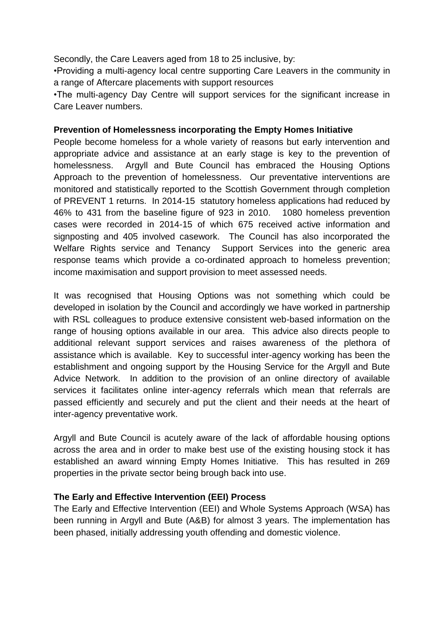Secondly, the Care Leavers aged from 18 to 25 inclusive, by:

•Providing a multi-agency local centre supporting Care Leavers in the community in a range of Aftercare placements with support resources

•The multi-agency Day Centre will support services for the significant increase in Care Leaver numbers.

### **Prevention of Homelessness incorporating the Empty Homes Initiative**

People become homeless for a whole variety of reasons but early intervention and appropriate advice and assistance at an early stage is key to the prevention of homelessness. Argyll and Bute Council has embraced the Housing Options Approach to the prevention of homelessness. Our preventative interventions are monitored and statistically reported to the Scottish Government through completion of PREVENT 1 returns. In 2014-15 statutory homeless applications had reduced by 46% to 431 from the baseline figure of 923 in 2010. 1080 homeless prevention cases were recorded in 2014-15 of which 675 received active information and signposting and 405 involved casework. The Council has also incorporated the Welfare Rights service and Tenancy Support Services into the generic area response teams which provide a co-ordinated approach to homeless prevention; income maximisation and support provision to meet assessed needs.

It was recognised that Housing Options was not something which could be developed in isolation by the Council and accordingly we have worked in partnership with RSL colleagues to produce extensive consistent web-based information on the range of housing options available in our area. This advice also directs people to additional relevant support services and raises awareness of the plethora of assistance which is available. Key to successful inter-agency working has been the establishment and ongoing support by the Housing Service for the Argyll and Bute Advice Network. In addition to the provision of an online directory of available services it facilitates online inter-agency referrals which mean that referrals are passed efficiently and securely and put the client and their needs at the heart of inter-agency preventative work.

Argyll and Bute Council is acutely aware of the lack of affordable housing options across the area and in order to make best use of the existing housing stock it has established an award winning Empty Homes Initiative. This has resulted in 269 properties in the private sector being brough back into use.

### **The Early and Effective Intervention (EEI) Process**

The Early and Effective Intervention (EEI) and Whole Systems Approach (WSA) has been running in Argyll and Bute (A&B) for almost 3 years. The implementation has been phased, initially addressing youth offending and domestic violence.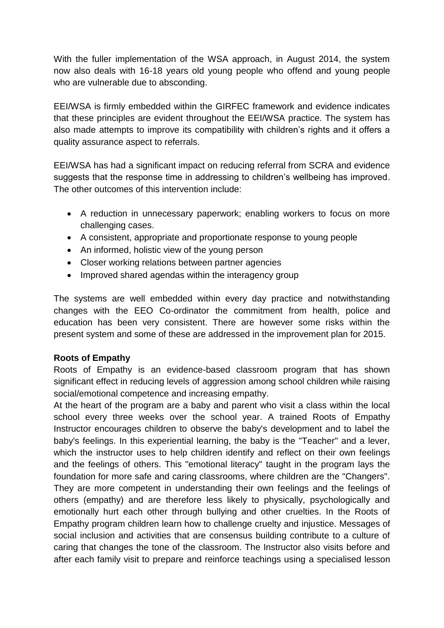With the fuller implementation of the WSA approach, in August 2014, the system now also deals with 16-18 years old young people who offend and young people who are vulnerable due to absconding.

EEI/WSA is firmly embedded within the GIRFEC framework and evidence indicates that these principles are evident throughout the EEI/WSA practice. The system has also made attempts to improve its compatibility with children's rights and it offers a quality assurance aspect to referrals.

EEI/WSA has had a significant impact on reducing referral from SCRA and evidence suggests that the response time in addressing to children's wellbeing has improved. The other outcomes of this intervention include:

- A reduction in unnecessary paperwork; enabling workers to focus on more challenging cases.
- A consistent, appropriate and proportionate response to young people
- An informed, holistic view of the young person
- Closer working relations between partner agencies
- Improved shared agendas within the interagency group

The systems are well embedded within every day practice and notwithstanding changes with the EEO Co-ordinator the commitment from health, police and education has been very consistent. There are however some risks within the present system and some of these are addressed in the improvement plan for 2015.

### **Roots of Empathy**

Roots of Empathy is an evidence-based classroom program that has shown significant effect in reducing levels of aggression among school children while raising social/emotional competence and increasing empathy.

At the heart of the program are a baby and parent who visit a class within the local school every three weeks over the school year. A trained Roots of Empathy Instructor encourages children to observe the baby's development and to label the baby's feelings. In this experiential learning, the baby is the "Teacher" and a lever, which the instructor uses to help children identify and reflect on their own feelings and the feelings of others. This "emotional literacy" taught in the program lays the foundation for more safe and caring classrooms, where children are the "Changers". They are more competent in understanding their own feelings and the feelings of others (empathy) and are therefore less likely to physically, psychologically and emotionally hurt each other through bullying and other cruelties. In the Roots of Empathy program children learn how to challenge cruelty and injustice. Messages of social inclusion and activities that are consensus building contribute to a culture of caring that changes the tone of the classroom. The Instructor also visits before and after each family visit to prepare and reinforce teachings using a specialised lesson